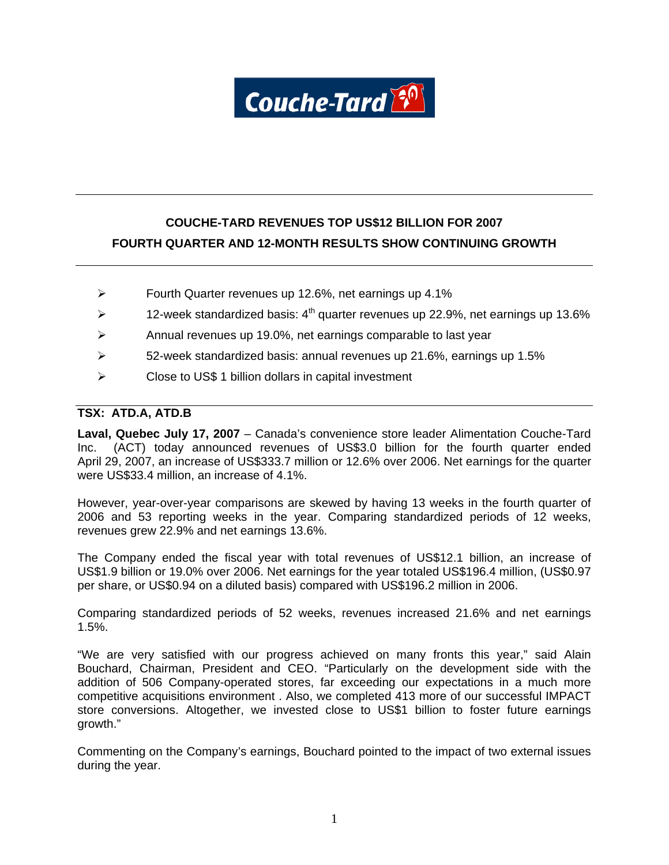Couche-Tard<sup>80</sup>

# **COUCHE-TARD REVENUES TOP US\$12 BILLION FOR 2007 FOURTH QUARTER AND 12-MONTH RESULTS SHOW CONTINUING GROWTH**

- ¾ Fourth Quarter revenues up 12.6%, net earnings up 4.1%
- $\blacktriangleright$  12-week standardized basis: 4<sup>th</sup> quarter revenues up 22.9%, net earnings up 13.6%
- ¾ Annual revenues up 19.0%, net earnings comparable to last year
- ¾ 52-week standardized basis: annual revenues up 21.6%, earnings up 1.5%
- $\triangleright$  Close to US\$ 1 billion dollars in capital investment

# **TSX: ATD.A, ATD.B**

**Laval, Quebec July 17, 2007** – Canada's convenience store leader Alimentation Couche-Tard Inc. (ACT) today announced revenues of US\$3.0 billion for the fourth quarter ended April 29, 2007, an increase of US\$333.7 million or 12.6% over 2006. Net earnings for the quarter were US\$33.4 million, an increase of 4.1%.

However, year-over-year comparisons are skewed by having 13 weeks in the fourth quarter of 2006 and 53 reporting weeks in the year. Comparing standardized periods of 12 weeks, revenues grew 22.9% and net earnings 13.6%.

The Company ended the fiscal year with total revenues of US\$12.1 billion, an increase of US\$1.9 billion or 19.0% over 2006. Net earnings for the year totaled US\$196.4 million, (US\$0.97 per share, or US\$0.94 on a diluted basis) compared with US\$196.2 million in 2006.

Comparing standardized periods of 52 weeks, revenues increased 21.6% and net earnings 1.5%.

"We are very satisfied with our progress achieved on many fronts this year," said Alain Bouchard, Chairman, President and CEO. "Particularly on the development side with the addition of 506 Company-operated stores, far exceeding our expectations in a much more competitive acquisitions environment . Also, we completed 413 more of our successful IMPACT store conversions. Altogether, we invested close to US\$1 billion to foster future earnings growth."

Commenting on the Company's earnings, Bouchard pointed to the impact of two external issues during the year.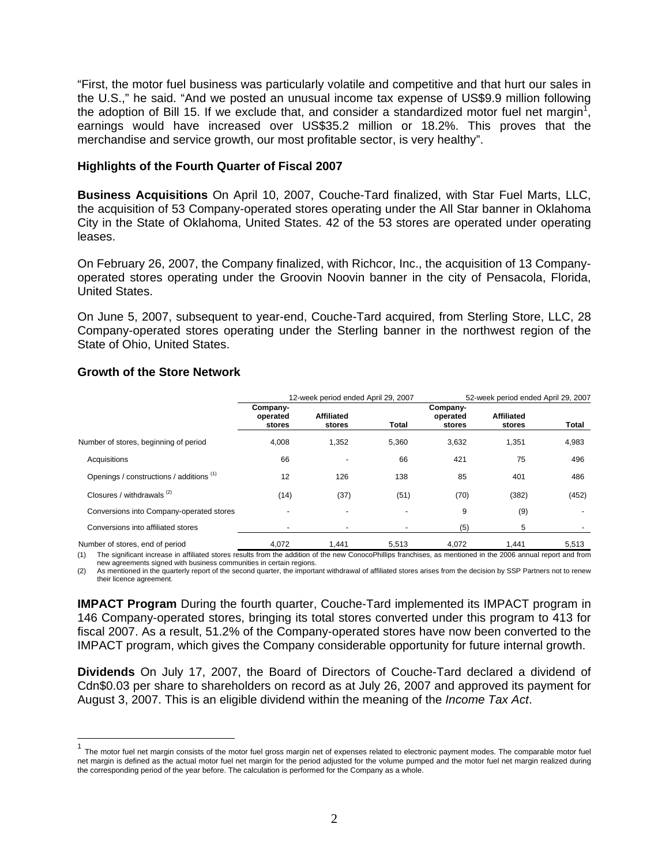"First, the motor fuel business was particularly volatile and competitive and that hurt our sales in the U.S.," he said. "And we posted an unusual income tax expense of US\$9.9 million following the adoption of Bill 15. If we exclude that, and consider a standardized motor fuel net margin<sup>1</sup>, earnings would have increased over US\$35.2 million or 18.2%. This proves that the merchandise and service growth, our most profitable sector, is very healthy".

# **Highlights of the Fourth Quarter of Fiscal 2007**

**Business Acquisitions** On April 10, 2007, Couche-Tard finalized, with Star Fuel Marts, LLC, the acquisition of 53 Company-operated stores operating under the All Star banner in Oklahoma City in the State of Oklahoma, United States. 42 of the 53 stores are operated under operating leases.

On February 26, 2007, the Company finalized, with Richcor, Inc., the acquisition of 13 Companyoperated stores operating under the Groovin Noovin banner in the city of Pensacola, Florida, United States.

On June 5, 2007, subsequent to year-end, Couche-Tard acquired, from Sterling Store, LLC, 28 Company-operated stores operating under the Sterling banner in the northwest region of the State of Ohio, United States.

|                                                     |                                | 12-week period ended April 29, 2007<br>52-week period ended April 29, 2007 |       |                                |                                              |       |
|-----------------------------------------------------|--------------------------------|----------------------------------------------------------------------------|-------|--------------------------------|----------------------------------------------|-------|
|                                                     | Company-<br>operated<br>stores | <b>Affiliated</b><br>stores                                                | Total | Company-<br>operated<br>stores | <b>Affiliated</b><br>stores                  | Total |
| Number of stores, beginning of period               | 4,008                          | 1,352                                                                      | 5,360 | 3,632                          | 1,351                                        | 4,983 |
| Acquisitions                                        | 66                             |                                                                            | 66    | 421                            | 75                                           | 496   |
| Openings / constructions / additions (1)            | 12                             | 126                                                                        | 138   | 85                             | 401                                          | 486   |
| Closures / withdrawals (2)                          | (14)                           | (37)                                                                       | (51)  | (70)                           | (382)                                        | (452) |
| Conversions into Company-operated stores            |                                |                                                                            |       | 9                              | (9)                                          |       |
| Conversions into affiliated stores                  |                                |                                                                            |       | (5)                            | 5                                            |       |
| Alexander and all and a considered and an authority | 1.070                          | $\overline{A}$ $\overline{A}$ $\overline{A}$                               | FFAO  | 1.070                          | $\overline{A}$ $\overline{A}$ $\overline{A}$ | FFAO  |

# **Growth of the Store Network**

 $\overline{a}$ 

Number of stores, end of period 4.072 1.441 5.513 4.072 (1) The significant increase in affiliated stores results from the addition of the new ConocoPhillips franchises, as mentioned in the 2006 annual report and from

new agreements signed with business communities in certain regions.

(2) As mentioned in the quarterly report of the second quarter, the important withdrawal of affiliated stores arises from the decision by SSP Partners not to renew their licence agreement.

**IMPACT Program** During the fourth quarter, Couche-Tard implemented its IMPACT program in 146 Company-operated stores, bringing its total stores converted under this program to 413 for fiscal 2007. As a result, 51.2% of the Company-operated stores have now been converted to the IMPACT program, which gives the Company considerable opportunity for future internal growth.

**Dividends** On July 17, 2007, the Board of Directors of Couche-Tard declared a dividend of Cdn\$0.03 per share to shareholders on record as at July 26, 2007 and approved its payment for August 3, 2007. This is an eligible dividend within the meaning of the *Income Tax Act*.

<sup>&</sup>lt;sup>1</sup> The motor fuel net margin consists of the motor fuel gross margin net of expenses related to electronic payment modes. The comparable motor fuel net margin is defined as the actual motor fuel net margin for the period adjusted for the volume pumped and the motor fuel net margin realized during the corresponding period of the year before. The calculation is performed for the Company as a whole.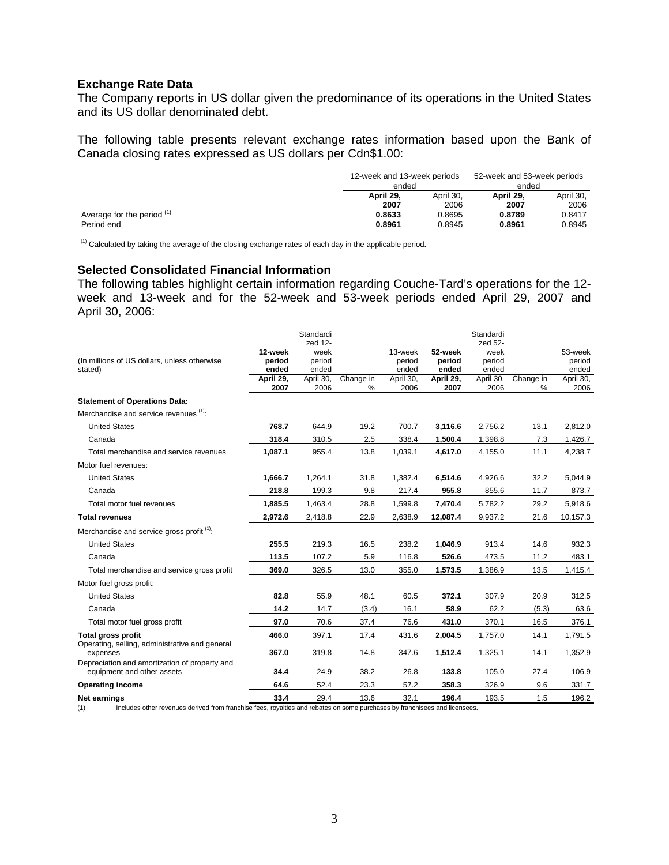### **Exchange Rate Data**

The Company reports in US dollar given the predominance of its operations in the United States and its US dollar denominated debt.

The following table presents relevant exchange rates information based upon the Bank of Canada closing rates expressed as US dollars per Cdn\$1.00:

|                              | 12-week and 13-week periods<br>ended |           |           | 52-week and 53-week periods<br>ended |
|------------------------------|--------------------------------------|-----------|-----------|--------------------------------------|
|                              | April 29.                            | April 30. | April 29. | April 30.                            |
|                              | 2007                                 | 2006      | 2007      | 2006                                 |
| Average for the period $(1)$ | 0.8633                               | 0.8695    | 0.8789    | 0.8417                               |
| Period end                   | 0.8961                               | 0.8945    | 0.8961    | 0.8945                               |

 $(1)$  Calculated by taking the average of the closing exchange rates of each day in the applicable period.

# **Selected Consolidated Financial Information**

The following tables highlight certain information regarding Couche-Tard's operations for the 12 week and 13-week and for the 52-week and 53-week periods ended April 29, 2007 and April 30, 2006:

|                                                                             |           | Standardi       |           |           |           | Standardi       |           |           |
|-----------------------------------------------------------------------------|-----------|-----------------|-----------|-----------|-----------|-----------------|-----------|-----------|
|                                                                             | 12-week   | zed 12-<br>week |           | 13-week   | 52-week   | zed 52-<br>week |           | 53-week   |
| (In millions of US dollars, unless otherwise                                | period    | period          |           | period    | period    | period          |           | period    |
| stated)                                                                     | ended     | ended           |           | ended     | ended     | ended           |           | ended     |
|                                                                             | April 29, | April 30,       | Change in | April 30, | April 29, | April 30,       | Change in | April 30, |
|                                                                             | 2007      | 2006            | %         | 2006      | 2007      | 2006            | %         | 2006      |
| <b>Statement of Operations Data:</b>                                        |           |                 |           |           |           |                 |           |           |
| Merchandise and service revenues (1):                                       |           |                 |           |           |           |                 |           |           |
| <b>United States</b>                                                        | 768.7     | 644.9           | 19.2      | 700.7     | 3,116.6   | 2,756.2         | 13.1      | 2,812.0   |
| Canada                                                                      | 318.4     | 310.5           | 2.5       | 338.4     | 1,500.4   | 1,398.8         | 7.3       | 1,426.7   |
| Total merchandise and service revenues                                      | 1,087.1   | 955.4           | 13.8      | 1,039.1   | 4,617.0   | 4,155.0         | 11.1      | 4,238.7   |
| Motor fuel revenues:                                                        |           |                 |           |           |           |                 |           |           |
| <b>United States</b>                                                        | 1,666.7   | 1,264.1         | 31.8      | 1,382.4   | 6,514.6   | 4,926.6         | 32.2      | 5,044.9   |
| Canada                                                                      | 218.8     | 199.3           | 9.8       | 217.4     | 955.8     | 855.6           | 11.7      | 873.7     |
| Total motor fuel revenues                                                   | 1,885.5   | 1,463.4         | 28.8      | 1,599.8   | 7,470.4   | 5,782.2         | 29.2      | 5,918.6   |
| <b>Total revenues</b>                                                       | 2,972.6   | 2,418.8         | 22.9      | 2,638.9   | 12,087.4  | 9,937.2         | 21.6      | 10,157.3  |
| Merchandise and service gross profit <sup>(1)</sup> :                       |           |                 |           |           |           |                 |           |           |
| <b>United States</b>                                                        | 255.5     | 219.3           | 16.5      | 238.2     | 1,046.9   | 913.4           | 14.6      | 932.3     |
| Canada                                                                      | 113.5     | 107.2           | 5.9       | 116.8     | 526.6     | 473.5           | 11.2      | 483.1     |
| Total merchandise and service gross profit                                  | 369.0     | 326.5           | 13.0      | 355.0     | 1,573.5   | 1,386.9         | 13.5      | 1,415.4   |
| Motor fuel gross profit:                                                    |           |                 |           |           |           |                 |           |           |
| <b>United States</b>                                                        | 82.8      | 55.9            | 48.1      | 60.5      | 372.1     | 307.9           | 20.9      | 312.5     |
| Canada                                                                      | 14.2      | 14.7            | (3.4)     | 16.1      | 58.9      | 62.2            | (5.3)     | 63.6      |
| Total motor fuel gross profit                                               | 97.0      | 70.6            | 37.4      | 76.6      | 431.0     | 370.1           | 16.5      | 376.1     |
| <b>Total gross profit</b>                                                   | 466.0     | 397.1           | 17.4      | 431.6     | 2,004.5   | 1,757.0         | 14.1      | 1,791.5   |
| Operating, selling, administrative and general<br>expenses                  | 367.0     | 319.8           | 14.8      | 347.6     | 1,512.4   | 1.325.1         | 14.1      | 1,352.9   |
| Depreciation and amortization of property and<br>equipment and other assets | 34.4      | 24.9            | 38.2      | 26.8      | 133.8     | 105.0           | 27.4      | 106.9     |
| <b>Operating income</b>                                                     | 64.6      | 52.4            | 23.3      | 57.2      | 358.3     | 326.9           | 9.6       | 331.7     |
| Net earnings                                                                | 33.4      | 29.4            | 13.6      | 32.1      | 196.4     | 193.5           | 1.5       | 196.2     |

(1) Includes other revenues derived from franchise fees, royalties and rebates on some purchases by franchisees and licensees.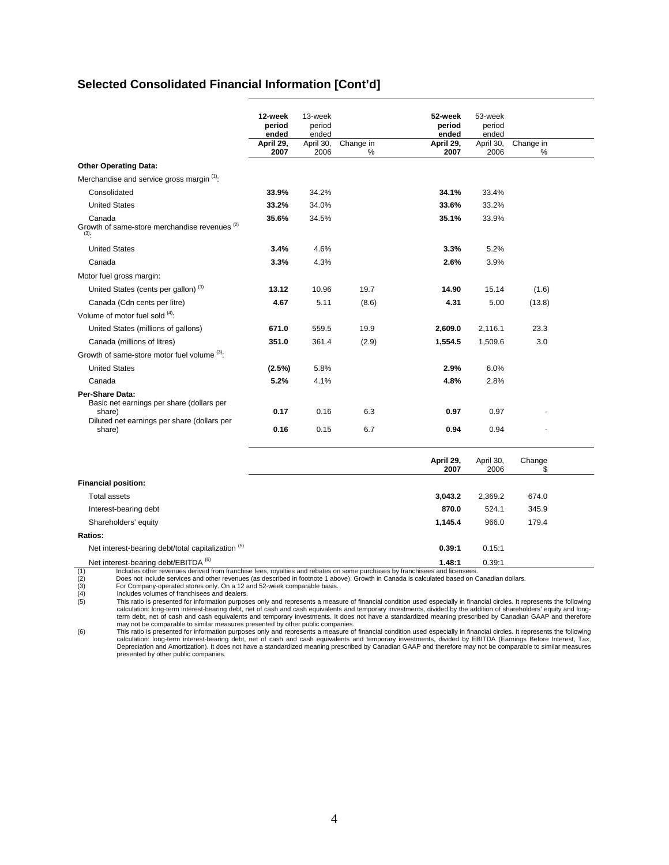# **Selected Consolidated Financial Information [Cont'd]**

|                                                                                                                                 | 12-week<br>period<br>ended | 13-week<br>period<br>ended |            | 52-week<br>period<br>ended | 53-week<br>period<br>ended |           |  |
|---------------------------------------------------------------------------------------------------------------------------------|----------------------------|----------------------------|------------|----------------------------|----------------------------|-----------|--|
|                                                                                                                                 | April 29,                  | April 30,                  | Change in  | April 29,                  | April 30,                  | Change in |  |
|                                                                                                                                 | 2007                       | 2006                       | %          | 2007                       | 2006                       | %         |  |
| <b>Other Operating Data:</b>                                                                                                    |                            |                            |            |                            |                            |           |  |
| Merchandise and service gross margin (1).                                                                                       |                            |                            |            |                            |                            |           |  |
| Consolidated                                                                                                                    | 33.9%                      | 34.2%                      |            | 34.1%                      | 33.4%                      |           |  |
| <b>United States</b>                                                                                                            | 33.2%                      | 34.0%                      |            | 33.6%                      | 33.2%                      |           |  |
| Canada<br>Growth of same-store merchandise revenues (2)<br>(3).                                                                 | 35.6%                      | 34.5%                      |            | 35.1%                      | 33.9%                      |           |  |
| <b>United States</b>                                                                                                            | 3.4%                       | 4.6%                       |            | 3.3%                       | 5.2%                       |           |  |
| Canada                                                                                                                          | 3.3%                       | 4.3%                       |            | 2.6%                       | 3.9%                       |           |  |
| Motor fuel gross margin:                                                                                                        |                            |                            |            |                            |                            |           |  |
| United States (cents per gallon) <sup>(3)</sup>                                                                                 | 13.12                      | 10.96                      | 19.7       | 14.90                      | 15.14                      | (1.6)     |  |
| Canada (Cdn cents per litre)                                                                                                    | 4.67                       | 5.11                       | (8.6)      | 4.31                       | 5.00                       | (13.8)    |  |
| Volume of motor fuel sold (4):                                                                                                  |                            |                            |            |                            |                            |           |  |
| United States (millions of gallons)                                                                                             | 671.0                      | 559.5                      | 19.9       | 2,609.0                    | 2,116.1                    | 23.3      |  |
| Canada (millions of litres)                                                                                                     | 351.0                      | 361.4                      | (2.9)      | 1,554.5                    | 1,509.6                    | 3.0       |  |
| Growth of same-store motor fuel volume (3):                                                                                     |                            |                            |            |                            |                            |           |  |
| <b>United States</b>                                                                                                            | $(2.5\%)$                  | 5.8%                       |            | 2.9%                       | 6.0%                       |           |  |
| Canada                                                                                                                          | 5.2%                       | 4.1%                       |            | 4.8%                       | 2.8%                       |           |  |
| Per-Share Data:<br>Basic net earnings per share (dollars per<br>share)<br>Diluted net earnings per share (dollars per<br>share) | 0.17<br>0.16               | 0.16<br>0.15               | 6.3<br>6.7 | 0.97<br>0.94               | 0.97<br>0.94               |           |  |
|                                                                                                                                 |                            |                            |            |                            |                            |           |  |

|                                                                                                                                   | April 29,<br>2007 | April 30,<br>2006 | Change |  |
|-----------------------------------------------------------------------------------------------------------------------------------|-------------------|-------------------|--------|--|
| <b>Financial position:</b>                                                                                                        |                   |                   |        |  |
| <b>Total assets</b>                                                                                                               | 3,043.2           | 2,369.2           | 674.0  |  |
| Interest-bearing debt                                                                                                             | 870.0             | 524.1             | 345.9  |  |
| Shareholders' equity                                                                                                              | 1.145.4           | 966.0             | 179.4  |  |
| Ratios:                                                                                                                           |                   |                   |        |  |
| Net interest-bearing debt/total capitalization (5)                                                                                | 0.39:1            | 0.15:1            |        |  |
| Net interest-bearing debt/EBITDA <sup>(6)</sup>                                                                                   | 1.48:1            | 0.39:1            |        |  |
| Includes other revenues derived from franchise fees, royalties and rebates on some purchases by franchisees and licensees.<br>(1) |                   |                   |        |  |

(1) Includes other revenues derived from franchise fees, royalties and rebates on some purchases by franchisees and licensees.<br>
(2) Does not include services and other revenues (as described in footnote 1 above). Growth in

(3) For Company-operated stores only. On a 12 and 52-week comparable basis. (4) Includes volumes of franchisees and dealers.

This ratio is presented for information purposes only and represents a measure of financial condition used especially in financial circles. It represents the following<br>- calculation: long-term interest-bearing debt, net of term debt, net of cash and cash equivalents and temporary investments. It does not have a standardized meaning prescribed by Canadian GAAP and therefore

may not be comparable to similar measures presented by other public companies.<br>This ratio is presented for information purposes only and represents a measure of financial condition used especially in financial circles. It presented by other public companies.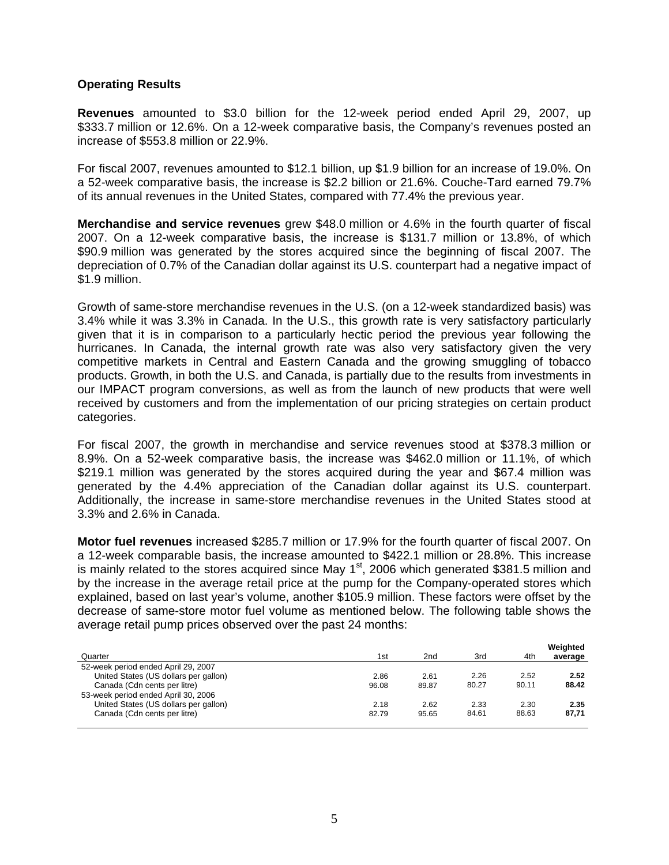# **Operating Results**

**Revenues** amounted to \$3.0 billion for the 12-week period ended April 29, 2007, up \$333.7 million or 12.6%. On a 12-week comparative basis, the Company's revenues posted an increase of \$553.8 million or 22.9%.

For fiscal 2007, revenues amounted to \$12.1 billion, up \$1.9 billion for an increase of 19.0%. On a 52-week comparative basis, the increase is \$2.2 billion or 21.6%. Couche-Tard earned 79.7% of its annual revenues in the United States, compared with 77.4% the previous year.

**Merchandise and service revenues** grew \$48.0 million or 4.6% in the fourth quarter of fiscal 2007. On a 12-week comparative basis, the increase is \$131.7 million or 13.8%, of which \$90.9 million was generated by the stores acquired since the beginning of fiscal 2007. The depreciation of 0.7% of the Canadian dollar against its U.S. counterpart had a negative impact of \$1.9 million.

Growth of same-store merchandise revenues in the U.S. (on a 12-week standardized basis) was 3.4% while it was 3.3% in Canada. In the U.S., this growth rate is very satisfactory particularly given that it is in comparison to a particularly hectic period the previous year following the hurricanes. In Canada, the internal growth rate was also very satisfactory given the very competitive markets in Central and Eastern Canada and the growing smuggling of tobacco products. Growth, in both the U.S. and Canada, is partially due to the results from investments in our IMPACT program conversions, as well as from the launch of new products that were well received by customers and from the implementation of our pricing strategies on certain product categories.

For fiscal 2007, the growth in merchandise and service revenues stood at \$378.3 million or 8.9%. On a 52-week comparative basis, the increase was \$462.0 million or 11.1%, of which \$219.1 million was generated by the stores acquired during the year and \$67.4 million was generated by the 4.4% appreciation of the Canadian dollar against its U.S. counterpart. Additionally, the increase in same-store merchandise revenues in the United States stood at 3.3% and 2.6% in Canada.

**Motor fuel revenues** increased \$285.7 million or 17.9% for the fourth quarter of fiscal 2007. On a 12-week comparable basis, the increase amounted to \$422.1 million or 28.8%. This increase is mainly related to the stores acquired since May  $1<sup>st</sup>$ , 2006 which generated \$381.5 million and by the increase in the average retail price at the pump for the Company-operated stores which explained, based on last year's volume, another \$105.9 million. These factors were offset by the decrease of same-store motor fuel volume as mentioned below. The following table shows the average retail pump prices observed over the past 24 months:

|                                       |       |       |       |       | Weighted |
|---------------------------------------|-------|-------|-------|-------|----------|
| Quarter                               | 1st   | 2nd   | 3rd   | 4th   | average  |
| 52-week period ended April 29, 2007   |       |       |       |       |          |
| United States (US dollars per gallon) | 2.86  | 2.61  | 2.26  | 2.52  | 2.52     |
| Canada (Cdn cents per litre)          | 96.08 | 89.87 | 80.27 | 90.11 | 88.42    |
| 53-week period ended April 30, 2006   |       |       |       |       |          |
| United States (US dollars per gallon) | 2.18  | 2.62  | 2.33  | 2.30  | 2.35     |
| Canada (Cdn cents per litre)          | 82.79 | 95.65 | 84.61 | 88.63 | 87.71    |
|                                       |       |       |       |       |          |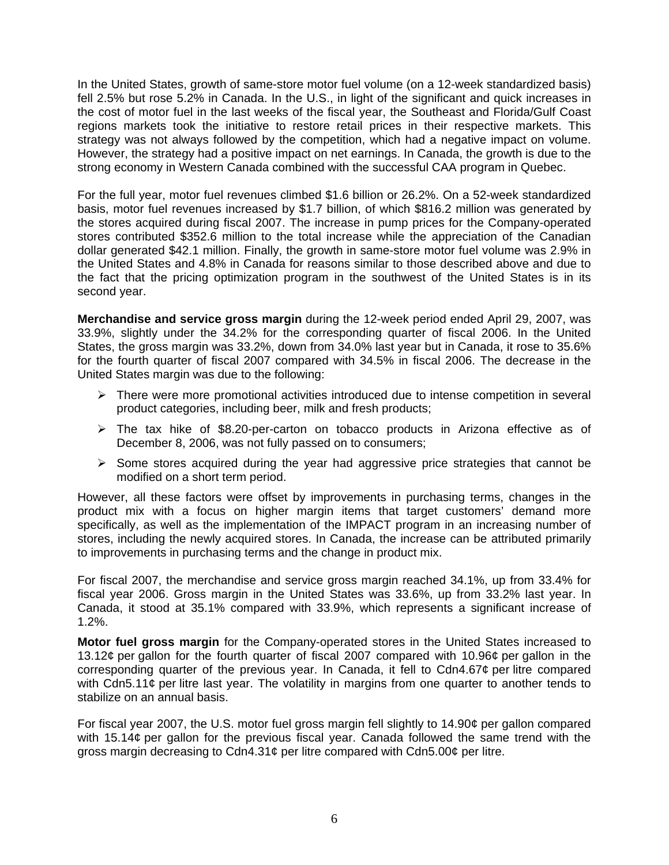In the United States, growth of same-store motor fuel volume (on a 12-week standardized basis) fell 2.5% but rose 5.2% in Canada. In the U.S., in light of the significant and quick increases in the cost of motor fuel in the last weeks of the fiscal year, the Southeast and Florida/Gulf Coast regions markets took the initiative to restore retail prices in their respective markets. This strategy was not always followed by the competition, which had a negative impact on volume. However, the strategy had a positive impact on net earnings. In Canada, the growth is due to the strong economy in Western Canada combined with the successful CAA program in Quebec.

For the full year, motor fuel revenues climbed \$1.6 billion or 26.2%. On a 52-week standardized basis, motor fuel revenues increased by \$1.7 billion, of which \$816.2 million was generated by the stores acquired during fiscal 2007. The increase in pump prices for the Company-operated stores contributed \$352.6 million to the total increase while the appreciation of the Canadian dollar generated \$42.1 million. Finally, the growth in same-store motor fuel volume was 2.9% in the United States and 4.8% in Canada for reasons similar to those described above and due to the fact that the pricing optimization program in the southwest of the United States is in its second year.

**Merchandise and service gross margin** during the 12-week period ended April 29, 2007, was 33.9%, slightly under the 34.2% for the corresponding quarter of fiscal 2006. In the United States, the gross margin was 33.2%, down from 34.0% last year but in Canada, it rose to 35.6% for the fourth quarter of fiscal 2007 compared with 34.5% in fiscal 2006. The decrease in the United States margin was due to the following:

- $\triangleright$  There were more promotional activities introduced due to intense competition in several product categories, including beer, milk and fresh products;
- $\triangleright$  The tax hike of \$8.20-per-carton on tobacco products in Arizona effective as of December 8, 2006, was not fully passed on to consumers;
- $\triangleright$  Some stores acquired during the year had aggressive price strategies that cannot be modified on a short term period.

However, all these factors were offset by improvements in purchasing terms, changes in the product mix with a focus on higher margin items that target customers' demand more specifically, as well as the implementation of the IMPACT program in an increasing number of stores, including the newly acquired stores. In Canada, the increase can be attributed primarily to improvements in purchasing terms and the change in product mix.

For fiscal 2007, the merchandise and service gross margin reached 34.1%, up from 33.4% for fiscal year 2006. Gross margin in the United States was 33.6%, up from 33.2% last year. In Canada, it stood at 35.1% compared with 33.9%, which represents a significant increase of 1.2%.

**Motor fuel gross margin** for the Company-operated stores in the United States increased to 13.12¢ per gallon for the fourth quarter of fiscal 2007 compared with 10.96¢ per gallon in the corresponding quarter of the previous year. In Canada, it fell to Cdn4.67¢ per litre compared with Cdn5.11 $\phi$  per litre last year. The volatility in margins from one quarter to another tends to stabilize on an annual basis.

For fiscal year 2007, the U.S. motor fuel gross margin fell slightly to 14.90¢ per gallon compared with 15.14¢ per gallon for the previous fiscal year. Canada followed the same trend with the gross margin decreasing to Cdn4.31¢ per litre compared with Cdn5.00¢ per litre.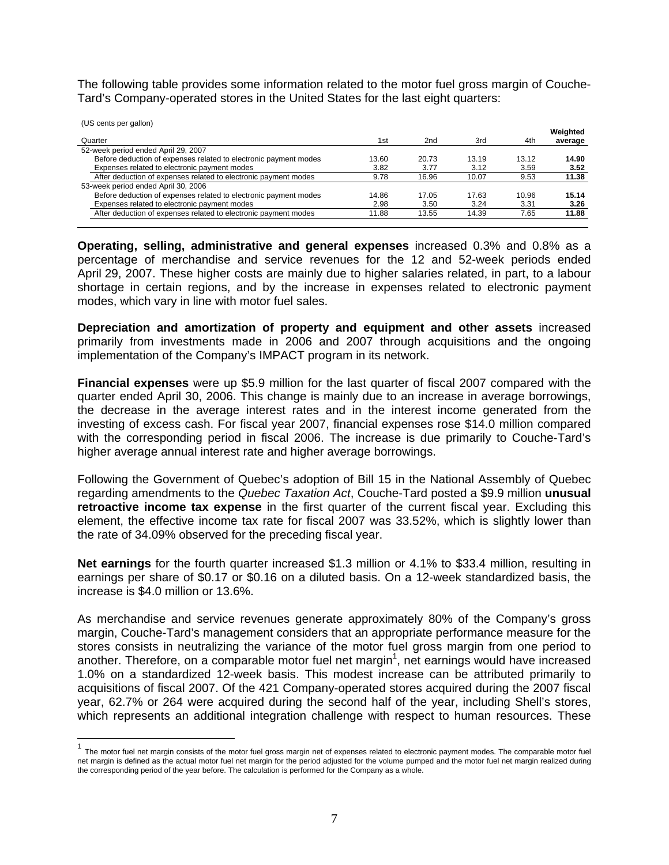The following table provides some information related to the motor fuel gross margin of Couche-Tard's Company-operated stores in the United States for the last eight quarters:

 $\overline{a}$ 

| (US cents per gallon)                                            |       |       |       |       |          |
|------------------------------------------------------------------|-------|-------|-------|-------|----------|
|                                                                  |       |       |       |       | Weighted |
| Quarter                                                          | 1st   | 2nd   | 3rd   | 4th   | average  |
| 52-week period ended April 29, 2007                              |       |       |       |       |          |
| Before deduction of expenses related to electronic payment modes | 13.60 | 20.73 | 13.19 | 13.12 | 14.90    |
| Expenses related to electronic payment modes                     | 3.82  | 3.77  | 3.12  | 3.59  | 3.52     |
| After deduction of expenses related to electronic payment modes  | 9.78  | 16.96 | 10.07 | 9.53  | 11.38    |
| 53-week period ended April 30, 2006                              |       |       |       |       |          |
| Before deduction of expenses related to electronic payment modes | 14.86 | 17.05 | 17.63 | 10.96 | 15.14    |
| Expenses related to electronic payment modes                     | 2.98  | 3.50  | 3.24  | 3.31  | 3.26     |
| After deduction of expenses related to electronic payment modes  | 11.88 | 13.55 | 14.39 | 7.65  | 11.88    |
|                                                                  |       |       |       |       |          |

**Operating, selling, administrative and general expenses** increased 0.3% and 0.8% as a percentage of merchandise and service revenues for the 12 and 52-week periods ended April 29, 2007. These higher costs are mainly due to higher salaries related, in part, to a labour shortage in certain regions, and by the increase in expenses related to electronic payment modes, which vary in line with motor fuel sales.

**Depreciation and amortization of property and equipment and other assets** increased primarily from investments made in 2006 and 2007 through acquisitions and the ongoing implementation of the Company's IMPACT program in its network.

**Financial expenses** were up \$5.9 million for the last quarter of fiscal 2007 compared with the quarter ended April 30, 2006. This change is mainly due to an increase in average borrowings, the decrease in the average interest rates and in the interest income generated from the investing of excess cash. For fiscal year 2007, financial expenses rose \$14.0 million compared with the corresponding period in fiscal 2006. The increase is due primarily to Couche-Tard's higher average annual interest rate and higher average borrowings.

Following the Government of Quebec's adoption of Bill 15 in the National Assembly of Quebec regarding amendments to the *Quebec Taxation Act*, Couche-Tard posted a \$9.9 million **unusual retroactive income tax expense** in the first quarter of the current fiscal year. Excluding this element, the effective income tax rate for fiscal 2007 was 33.52%, which is slightly lower than the rate of 34.09% observed for the preceding fiscal year.

**Net earnings** for the fourth quarter increased \$1.3 million or 4.1% to \$33.4 million, resulting in earnings per share of \$0.17 or \$0.16 on a diluted basis. On a 12-week standardized basis, the increase is \$4.0 million or 13.6%.

As merchandise and service revenues generate approximately 80% of the Company's gross margin, Couche-Tard's management considers that an appropriate performance measure for the stores consists in neutralizing the variance of the motor fuel gross margin from one period to another. Therefore, on a comparable motor fuel net margin<sup>1</sup>, net earnings would have increased 1.0% on a standardized 12-week basis. This modest increase can be attributed primarily to acquisitions of fiscal 2007. Of the 421 Company-operated stores acquired during the 2007 fiscal year, 62.7% or 264 were acquired during the second half of the year, including Shell's stores, which represents an additional integration challenge with respect to human resources. These

<sup>&</sup>lt;sup>1</sup> The motor fuel net margin consists of the motor fuel gross margin net of expenses related to electronic payment modes. The comparable motor fuel net margin is defined as the actual motor fuel net margin for the period adjusted for the volume pumped and the motor fuel net margin realized during the corresponding period of the year before. The calculation is performed for the Company as a whole.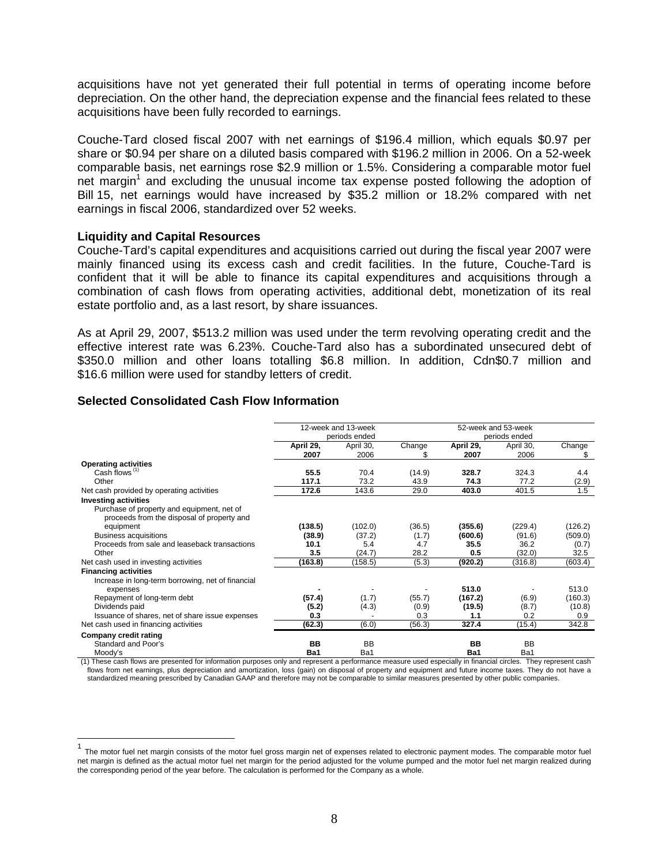acquisitions have not yet generated their full potential in terms of operating income before depreciation. On the other hand, the depreciation expense and the financial fees related to these acquisitions have been fully recorded to earnings.

Couche-Tard closed fiscal 2007 with net earnings of \$196.4 million, which equals \$0.97 per share or \$0.94 per share on a diluted basis compared with \$196.2 million in 2006. On a 52-week comparable basis, net earnings rose \$2.9 million or 1.5%. Considering a comparable motor fuel net margin<sup>1</sup> and excluding the unusual income tax expense posted following the adoption of Bill 15, net earnings would have increased by \$35.2 million or 18.2% compared with net earnings in fiscal 2006, standardized over 52 weeks.

### **Liquidity and Capital Resources**

 $\overline{a}$ 

Couche-Tard's capital expenditures and acquisitions carried out during the fiscal year 2007 were mainly financed using its excess cash and credit facilities. In the future, Couche-Tard is confident that it will be able to finance its capital expenditures and acquisitions through a combination of cash flows from operating activities, additional debt, monetization of its real estate portfolio and, as a last resort, by share issuances.

As at April 29, 2007, \$513.2 million was used under the term revolving operating credit and the effective interest rate was 6.23%. Couche-Tard also has a subordinated unsecured debt of \$350.0 million and other loans totalling \$6.8 million. In addition, Cdn\$0.7 million and \$16.6 million were used for standby letters of credit.

# **Selected Consolidated Cash Flow Information**

|                                                   |           | 12-week and 13-week |               |           | 52-week and 53-week |         |
|---------------------------------------------------|-----------|---------------------|---------------|-----------|---------------------|---------|
|                                                   |           | periods ended       | periods ended |           |                     |         |
|                                                   | April 29, | April 30,           | Change        | April 29. | April 30,           | Change  |
|                                                   | 2007      | 2006                | S             | 2007      | 2006                | S       |
| <b>Operating activities</b>                       |           |                     |               |           |                     |         |
| Cash flows <sup>(1)</sup>                         | 55.5      | 70.4                | (14.9)        | 328.7     | 324.3               | 4.4     |
| Other                                             | 117.1     | 73.2                | 43.9          | 74.3      | 77.2                | (2.9)   |
| Net cash provided by operating activities         | 172.6     | 143.6               | 29.0          | 403.0     | 401.5               | 1.5     |
| <b>Investing activities</b>                       |           |                     |               |           |                     |         |
| Purchase of property and equipment, net of        |           |                     |               |           |                     |         |
| proceeds from the disposal of property and        |           |                     |               |           |                     |         |
| equipment                                         | (138.5)   | (102.0)             | (36.5)        | (355.6)   | (229.4)             | (126.2) |
| <b>Business acquisitions</b>                      | (38.9)    | (37.2)              | (1.7)         | (600.6)   | (91.6)              | (509.0) |
| Proceeds from sale and leaseback transactions     | 10.1      | 5.4                 | 4.7           | 35.5      | 36.2                | (0.7)   |
| Other                                             | 3.5       | (24.7)              | 28.2          | 0.5       | (32.0)              | 32.5    |
| Net cash used in investing activities             | (163.8)   | (158.5)             | (5.3)         | (920.2)   | (316.8)             | (603.4) |
| <b>Financing activities</b>                       |           |                     |               |           |                     |         |
| Increase in long-term borrowing, net of financial |           |                     |               |           |                     |         |
| expenses                                          |           |                     |               | 513.0     |                     | 513.0   |
| Repayment of long-term debt                       | (57.4)    | (1.7)               | (55.7)        | (167.2)   | (6.9)               | (160.3) |
| Dividends paid                                    | (5.2)     | (4.3)               | (0.9)         | (19.5)    | (8.7)               | (10.8)  |
| Issuance of shares, net of share issue expenses   | 0.3       |                     | 0.3           | 1.1       | 0.2                 | 0.9     |
| Net cash used in financing activities             | (62.3)    | (6.0)               | (56.3)        | 327.4     | (15.4)              | 342.8   |
| Company credit rating                             |           |                     |               |           |                     |         |
| Standard and Poor's                               | BB        | <b>BB</b>           |               | <b>BB</b> | <b>BB</b>           |         |
| Moody's                                           | Ba1       | Ba1                 |               | Ba1       | Ba1                 |         |

(1) These cash flows are presented for information purposes only and represent a performance measure used especially in financial circles. They represent cash flows from net earnings, plus depreciation and amortization, loss (gain) on disposal of property and equipment and future income taxes. They do not have a standardized meaning prescribed by Canadian GAAP and therefore may not be comparable to similar measures presented by other public companies.

<sup>&</sup>lt;sup>1</sup> The motor fuel net margin consists of the motor fuel gross margin net of expenses related to electronic payment modes. The comparable motor fuel net margin is defined as the actual motor fuel net margin for the period adjusted for the volume pumped and the motor fuel net margin realized during the corresponding period of the year before. The calculation is performed for the Company as a whole.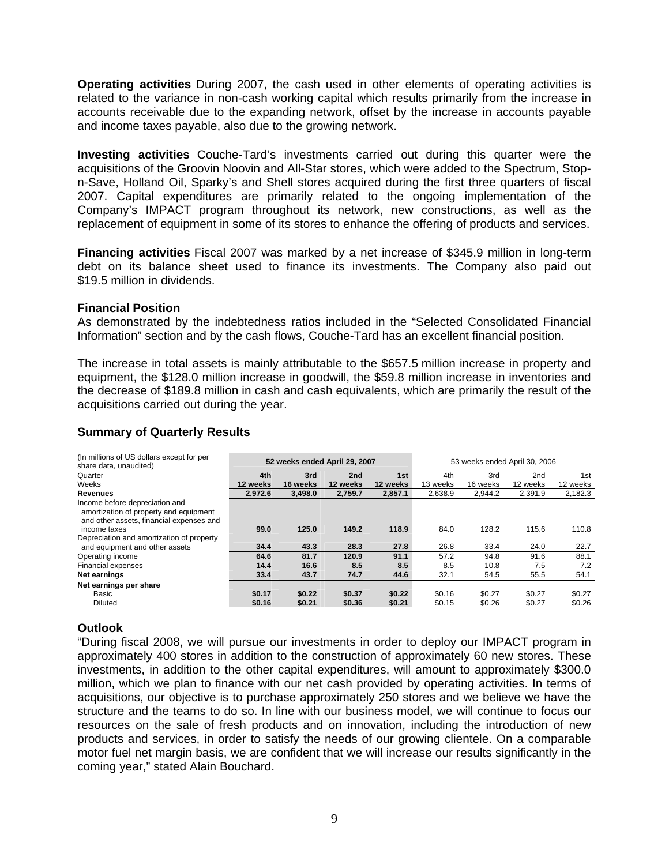**Operating activities** During 2007, the cash used in other elements of operating activities is related to the variance in non-cash working capital which results primarily from the increase in accounts receivable due to the expanding network, offset by the increase in accounts payable and income taxes payable, also due to the growing network.

**Investing activities** Couche-Tard's investments carried out during this quarter were the acquisitions of the Groovin Noovin and All-Star stores, which were added to the Spectrum, Stopn-Save, Holland Oil, Sparky's and Shell stores acquired during the first three quarters of fiscal 2007. Capital expenditures are primarily related to the ongoing implementation of the Company's IMPACT program throughout its network, new constructions, as well as the replacement of equipment in some of its stores to enhance the offering of products and services.

**Financing activities** Fiscal 2007 was marked by a net increase of \$345.9 million in long-term debt on its balance sheet used to finance its investments. The Company also paid out \$19.5 million in dividends.

# **Financial Position**

As demonstrated by the indebtedness ratios included in the "Selected Consolidated Financial Information" section and by the cash flows, Couche-Tard has an excellent financial position.

The increase in total assets is mainly attributable to the \$657.5 million increase in property and equipment, the \$128.0 million increase in goodwill, the \$59.8 million increase in inventories and the decrease of \$189.8 million in cash and cash equivalents, which are primarily the result of the acquisitions carried out during the year.

# **Summary of Quarterly Results**

| (In millions of US dollars except for per<br>share data, unaudited)                                                  |                  |                  | 52 weeks ended April 29, 2007 |                  |                  | 53 weeks ended April 30, 2006 |                  |                  |  |
|----------------------------------------------------------------------------------------------------------------------|------------------|------------------|-------------------------------|------------------|------------------|-------------------------------|------------------|------------------|--|
| Quarter                                                                                                              | 4th              | 3rd              | 2nd                           | 1st              | 4th              | 3rd                           | 2 <sub>nd</sub>  | 1st              |  |
| Weeks                                                                                                                | 12 weeks         | 16 weeks         | 12 weeks                      | 12 weeks         | 13 weeks         | 16 weeks                      | 12 weeks         | 12 weeks         |  |
| <b>Revenues</b>                                                                                                      | 2.972.6          | 3,498.0          | 2,759.7                       | 2.857.1          | 2.638.9          | 2,944.2                       | 2.391.9          | 2,182.3          |  |
| Income before depreciation and<br>amortization of property and equipment<br>and other assets, financial expenses and |                  |                  |                               |                  |                  |                               |                  |                  |  |
| income taxes                                                                                                         | 99.0             | 125.0            | 149.2                         | 118.9            | 84.0             | 128.2                         | 115.6            | 110.8            |  |
| Depreciation and amortization of property                                                                            |                  |                  |                               |                  |                  |                               |                  |                  |  |
| and equipment and other assets                                                                                       | 34.4             | 43.3             | 28.3                          | 27.8             | 26.8             | 33.4                          | 24.0             | 22.7             |  |
| Operating income                                                                                                     | 64.6             | 81.7             | 120.9                         | 91.1             | 57.2             | 94.8                          | 91.6             | 88.1             |  |
| <b>Financial expenses</b>                                                                                            | 14.4             | 16.6             | 8.5                           | 8.5              | 8.5              | 10.8                          | 7.5              | 7.2              |  |
| Net earnings                                                                                                         | 33.4             | 43.7             | 74.7                          | 44.6             | 32.1             | 54.5                          | 55.5             | 54.1             |  |
| Net earnings per share<br>Basic<br><b>Diluted</b>                                                                    | \$0.17<br>\$0.16 | \$0.22<br>\$0.21 | \$0.37<br>\$0.36              | \$0.22<br>\$0.21 | \$0.16<br>\$0.15 | \$0.27<br>\$0.26              | \$0.27<br>\$0.27 | \$0.27<br>\$0.26 |  |

# **Outlook**

"During fiscal 2008, we will pursue our investments in order to deploy our IMPACT program in approximately 400 stores in addition to the construction of approximately 60 new stores. These investments, in addition to the other capital expenditures, will amount to approximately \$300.0 million, which we plan to finance with our net cash provided by operating activities. In terms of acquisitions, our objective is to purchase approximately 250 stores and we believe we have the structure and the teams to do so. In line with our business model, we will continue to focus our resources on the sale of fresh products and on innovation, including the introduction of new products and services, in order to satisfy the needs of our growing clientele. On a comparable motor fuel net margin basis, we are confident that we will increase our results significantly in the coming year," stated Alain Bouchard.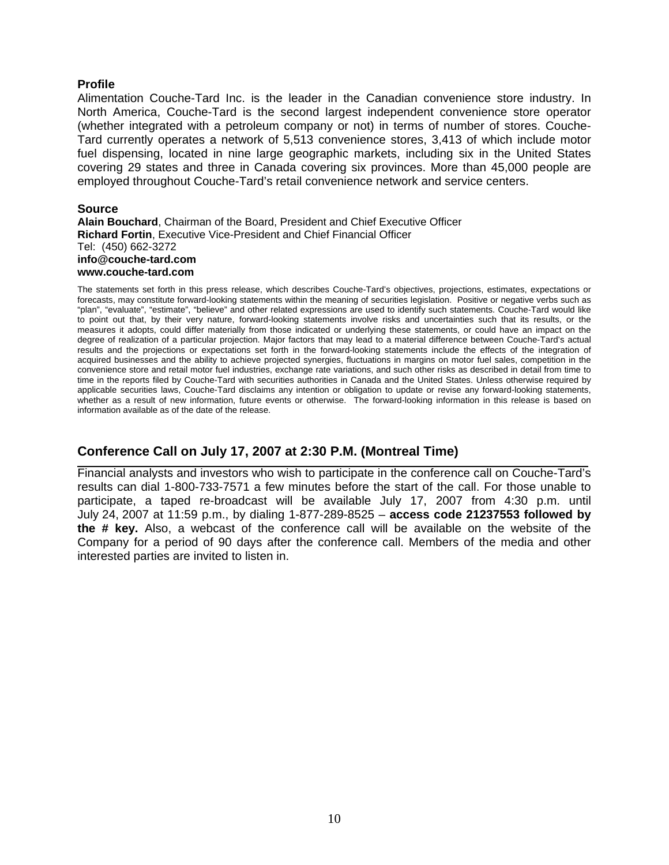# **Profile**

Alimentation Couche-Tard Inc. is the leader in the Canadian convenience store industry. In North America, Couche-Tard is the second largest independent convenience store operator (whether integrated with a petroleum company or not) in terms of number of stores. Couche-Tard currently operates a network of 5,513 convenience stores, 3,413 of which include motor fuel dispensing, located in nine large geographic markets, including six in the United States covering 29 states and three in Canada covering six provinces. More than 45,000 people are employed throughout Couche-Tard's retail convenience network and service centers.

### **Source**

**Alain Bouchard**, Chairman of the Board, President and Chief Executive Officer **Richard Fortin**, Executive Vice-President and Chief Financial Officer Tel: (450) 662-3272 **info@couche-tard.com www.couche-tard.com** 

The statements set forth in this press release, which describes Couche-Tard's objectives, projections, estimates, expectations or forecasts, may constitute forward-looking statements within the meaning of securities legislation. Positive or negative verbs such as "plan", "evaluate", "estimate", "believe" and other related expressions are used to identify such statements. Couche-Tard would like to point out that, by their very nature, forward-looking statements involve risks and uncertainties such that its results, or the measures it adopts, could differ materially from those indicated or underlying these statements, or could have an impact on the degree of realization of a particular projection. Major factors that may lead to a material difference between Couche-Tard's actual results and the projections or expectations set forth in the forward-looking statements include the effects of the integration of acquired businesses and the ability to achieve projected synergies, fluctuations in margins on motor fuel sales, competition in the convenience store and retail motor fuel industries, exchange rate variations, and such other risks as described in detail from time to time in the reports filed by Couche-Tard with securities authorities in Canada and the United States. Unless otherwise required by applicable securities laws, Couche-Tard disclaims any intention or obligation to update or revise any forward-looking statements, whether as a result of new information, future events or otherwise. The forward-looking information in this release is based on information available as of the date of the release.

# **Conference Call on July 17, 2007 at 2:30 P.M. (Montreal Time)**

Financial analysts and investors who wish to participate in the conference call on Couche-Tard's results can dial 1-800-733-7571 a few minutes before the start of the call. For those unable to participate, a taped re-broadcast will be available July 17, 2007 from 4:30 p.m. until July 24, 2007 at 11:59 p.m., by dialing 1-877-289-8525 – **access code 21237553 followed by the # key.** Also, a webcast of the conference call will be available on the website of the Company for a period of 90 days after the conference call. Members of the media and other interested parties are invited to listen in.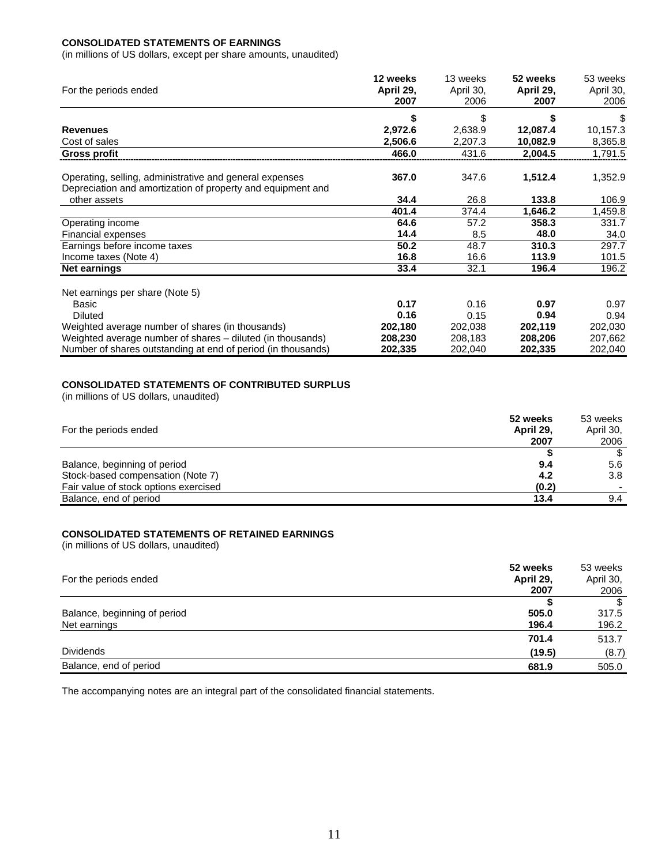### **CONSOLIDATED STATEMENTS OF EARNINGS**

(in millions of US dollars, except per share amounts, unaudited)

| For the periods ended                                                                                                  | 12 weeks<br>April 29,<br>2007 | 13 weeks<br>April 30,<br>2006 | 52 weeks<br>April 29,<br>2007 | 53 weeks<br>April 30,<br>2006 |
|------------------------------------------------------------------------------------------------------------------------|-------------------------------|-------------------------------|-------------------------------|-------------------------------|
|                                                                                                                        | \$                            | S                             |                               | \$                            |
| <b>Revenues</b>                                                                                                        | 2,972.6                       | 2,638.9                       | 12,087.4                      | 10,157.3                      |
| Cost of sales                                                                                                          | 2,506.6                       | 2,207.3                       | 10,082.9                      | 8,365.8                       |
| <b>Gross profit</b>                                                                                                    | 466.0                         | 431.6                         | 2,004.5                       | 1,791.5                       |
| Operating, selling, administrative and general expenses<br>Depreciation and amortization of property and equipment and | 367.0                         | 347.6                         | 1,512.4                       | 1,352.9                       |
| other assets                                                                                                           | 34.4                          | 26.8                          | 133.8                         | 106.9                         |
|                                                                                                                        | 401.4                         | 374.4                         | 1,646.2                       | 1,459.8                       |
| Operating income                                                                                                       | 64.6                          | 57.2                          | 358.3                         | 331.7                         |
| Financial expenses                                                                                                     | 14.4                          | 8.5                           | 48.0                          | 34.0                          |
| Earnings before income taxes                                                                                           | 50.2                          | 48.7                          | 310.3                         | 297.7                         |
| Income taxes (Note 4)                                                                                                  | 16.8                          | 16.6                          | 113.9                         | 101.5                         |
| Net earnings                                                                                                           | 33.4                          | 32.1                          | 196.4                         | 196.2                         |
| Net earnings per share (Note 5)                                                                                        |                               |                               |                               |                               |
| Basic                                                                                                                  | 0.17                          | 0.16                          | 0.97                          | 0.97                          |
| <b>Diluted</b>                                                                                                         | 0.16                          | 0.15                          | 0.94                          | 0.94                          |
| Weighted average number of shares (in thousands)                                                                       | 202,180                       | 202,038                       | 202,119                       | 202,030                       |
| Weighted average number of shares – diluted (in thousands)                                                             | 208,230                       | 208,183                       | 208,206                       | 207,662                       |
| Number of shares outstanding at end of period (in thousands)                                                           | 202,335                       | 202,040                       | 202,335                       | 202,040                       |

### **CONSOLIDATED STATEMENTS OF CONTRIBUTED SURPLUS**

(in millions of US dollars, unaudited)

| For the periods ended                 | 52 weeks<br>April 29,<br>2007 | 53 weeks<br>April 30,<br>2006 |
|---------------------------------------|-------------------------------|-------------------------------|
|                                       |                               | \$                            |
| Balance, beginning of period          | 9.4                           | 5.6                           |
| Stock-based compensation (Note 7)     | 4.2                           | 3.8                           |
| Fair value of stock options exercised | (0.2)                         |                               |
| Balance, end of period                | 13.4                          | 9.4                           |

### **CONSOLIDATED STATEMENTS OF RETAINED EARNINGS**

(in millions of US dollars, unaudited)

| 52 weeks<br>For the periods ended<br>April 29,<br>2007 | 53 weeks<br>April 30,<br>2006 |
|--------------------------------------------------------|-------------------------------|
|                                                        | \$                            |
| 505.0<br>Balance, beginning of period                  | 317.5                         |
| Net earnings<br>196.4                                  | 196.2                         |
| 701.4                                                  | 513.7                         |
| <b>Dividends</b><br>(19.5)                             | (8.7)                         |
| Balance, end of period<br>681.9                        | 505.0                         |

The accompanying notes are an integral part of the consolidated financial statements.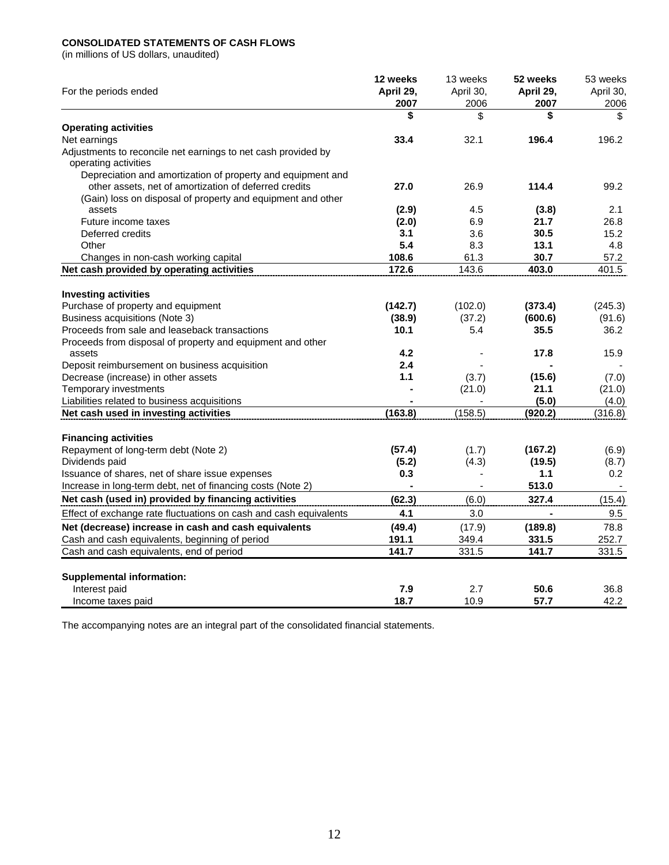### **CONSOLIDATED STATEMENTS OF CASH FLOWS**

(in millions of US dollars, unaudited)

| For the periods ended                                             | 12 weeks<br>April 29,<br>2007 | 13 weeks<br>April 30,<br>2006 | 52 weeks<br>April 29,<br>2007 | 53 weeks<br>April 30,<br>2006 |
|-------------------------------------------------------------------|-------------------------------|-------------------------------|-------------------------------|-------------------------------|
|                                                                   | \$                            | \$                            | \$                            | \$                            |
| <b>Operating activities</b>                                       |                               |                               |                               |                               |
| Net earnings                                                      | 33.4                          | 32.1                          | 196.4                         | 196.2                         |
| Adjustments to reconcile net earnings to net cash provided by     |                               |                               |                               |                               |
| operating activities                                              |                               |                               |                               |                               |
| Depreciation and amortization of property and equipment and       |                               |                               |                               |                               |
| other assets, net of amortization of deferred credits             | 27.0                          | 26.9                          | 114.4                         | 99.2                          |
| (Gain) loss on disposal of property and equipment and other       |                               |                               |                               |                               |
| assets                                                            | (2.9)                         | 4.5                           | (3.8)                         | 2.1                           |
| Future income taxes                                               | (2.0)                         | 6.9                           | 21.7                          | 26.8                          |
| Deferred credits                                                  | 3.1                           | 3.6                           | 30.5                          | 15.2                          |
| Other                                                             | 5.4                           | 8.3                           | 13.1                          | 4.8                           |
| Changes in non-cash working capital                               | 108.6                         | 61.3                          | 30.7                          | 57.2                          |
| Net cash provided by operating activities                         | 172.6                         | 143.6                         | 403.0                         | 401.5                         |
| <b>Investing activities</b>                                       |                               |                               |                               |                               |
| Purchase of property and equipment                                | (142.7)                       | (102.0)                       | (373.4)                       | (245.3)                       |
| Business acquisitions (Note 3)                                    | (38.9)                        | (37.2)                        | (600.6)                       | (91.6)                        |
| Proceeds from sale and leaseback transactions                     | 10.1                          | 5.4                           | 35.5                          | 36.2                          |
| Proceeds from disposal of property and equipment and other        |                               |                               |                               |                               |
| assets                                                            | 4.2                           |                               | 17.8                          | 15.9                          |
| Deposit reimbursement on business acquisition                     | 2.4                           |                               |                               |                               |
| Decrease (increase) in other assets                               | 1.1                           | (3.7)                         | (15.6)                        | (7.0)                         |
| Temporary investments                                             |                               | (21.0)                        | 21.1                          | (21.0)                        |
| Liabilities related to business acquisitions                      |                               |                               | (5.0)                         | (4.0)                         |
| Net cash used in investing activities                             | (163.8)                       | (158.5)                       | (920.2)                       | (316.8)                       |
| <b>Financing activities</b>                                       |                               |                               |                               |                               |
| Repayment of long-term debt (Note 2)                              | (57.4)                        | (1.7)                         | (167.2)                       | (6.9)                         |
| Dividends paid                                                    | (5.2)                         | (4.3)                         | (19.5)                        | (8.7)                         |
| Issuance of shares, net of share issue expenses                   | 0.3                           |                               | 1.1                           | 0.2                           |
| Increase in long-term debt, net of financing costs (Note 2)       |                               |                               | 513.0                         |                               |
| Net cash (used in) provided by financing activities               | (62.3)                        | (6.0)                         | 327.4                         | (15.4)                        |
| Effect of exchange rate fluctuations on cash and cash equivalents | 4.1                           | 3.0                           |                               | 9.5                           |
| Net (decrease) increase in cash and cash equivalents              | (49.4)                        | (17.9)                        | (189.8)                       | 78.8                          |
| Cash and cash equivalents, beginning of period                    | 191.1                         | 349.4                         | 331.5                         | 252.7                         |
| Cash and cash equivalents, end of period                          | 141.7                         | 331.5                         | 141.7                         | 331.5                         |
|                                                                   |                               |                               |                               |                               |
| <b>Supplemental information:</b>                                  |                               |                               |                               |                               |
| Interest paid                                                     | 7.9                           | 2.7                           | 50.6                          | 36.8                          |
| Income taxes paid                                                 | 18.7                          | 10.9                          | 57.7                          | 42.2                          |

The accompanying notes are an integral part of the consolidated financial statements.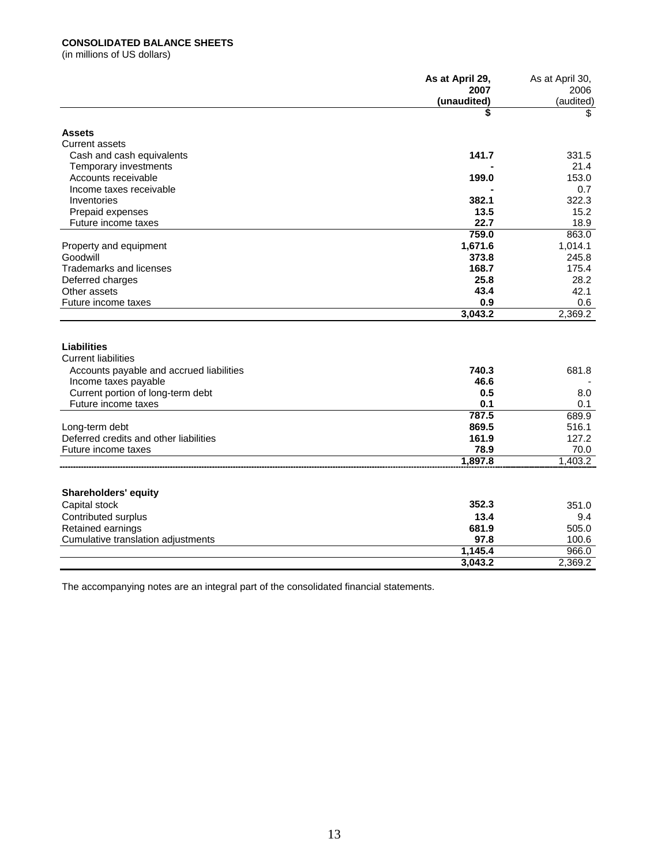### **CONSOLIDATED BALANCE SHEETS**

(in millions of US dollars)

|                                          | As at April 29, | As at April 30, |
|------------------------------------------|-----------------|-----------------|
|                                          | 2007            | 2006            |
|                                          | (unaudited)     | (audited)       |
|                                          | \$              | \$              |
| <b>Assets</b>                            |                 |                 |
| <b>Current assets</b>                    |                 |                 |
| Cash and cash equivalents                | 141.7           | 331.5           |
| Temporary investments                    |                 | 21.4            |
| Accounts receivable                      | 199.0           | 153.0           |
| Income taxes receivable                  |                 | 0.7             |
| Inventories                              | 382.1           | 322.3           |
| Prepaid expenses                         | 13.5            | 15.2            |
| Future income taxes                      | 22.7            | 18.9            |
|                                          | 759.0           | 863.0           |
| Property and equipment                   | 1,671.6         | 1,014.1         |
| Goodwill                                 | 373.8           | 245.8           |
| <b>Trademarks and licenses</b>           | 168.7           | 175.4           |
| Deferred charges                         | 25.8            | 28.2            |
| Other assets                             | 43.4            | 42.1            |
| Future income taxes                      | 0.9             | 0.6             |
|                                          | 3,043.2         | 2,369.2         |
|                                          |                 |                 |
| Liabilities                              |                 |                 |
| <b>Current liabilities</b>               |                 |                 |
| Accounts payable and accrued liabilities | 740.3           | 681.8           |
| Income taxes payable                     | 46.6            |                 |
| Current portion of long-term debt        | 0.5             | 8.0             |
| Future income taxes                      | 0.1             | 0.1             |
|                                          | 787.5           | 689.9           |
| Long-term debt                           | 869.5           | 516.1           |
| Deferred credits and other liabilities   | 161.9           | 127.2           |
| Future income taxes                      | 78.9            | 70.0            |
|                                          | 1,897.8         | 1,403.2         |
|                                          |                 |                 |
|                                          |                 |                 |
| <b>Shareholders' equity</b>              |                 |                 |
| Capital stock                            | 352.3           | 351.0           |
| Contributed surplus                      | 13.4            | 9.4             |
| Retained earnings                        | 681.9           | 505.0           |
| Cumulative translation adjustments       | 97.8            | 100.6           |
|                                          | 1,145.4         | 966.0           |
|                                          | 3,043.2         | 2,369.2         |

The accompanying notes are an integral part of the consolidated financial statements.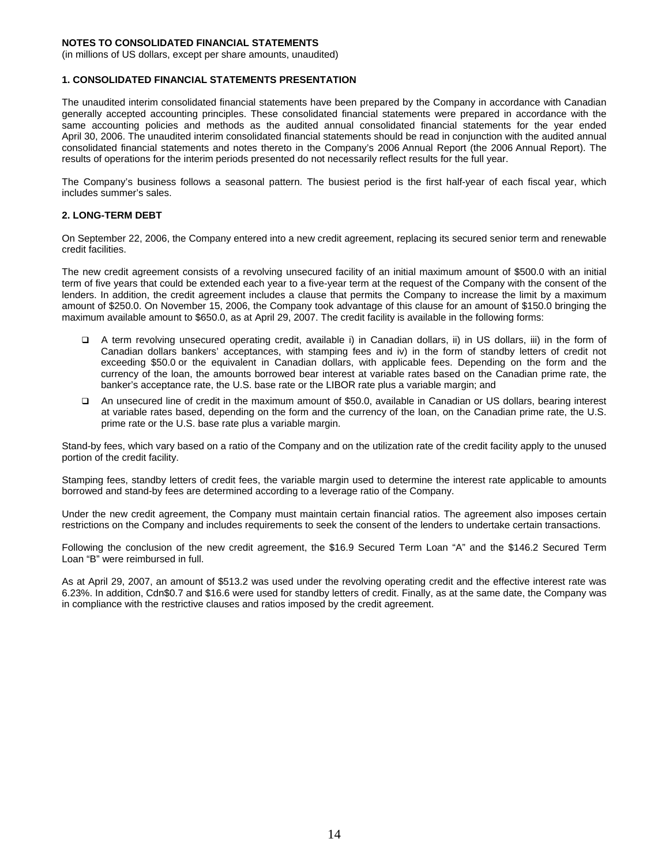(in millions of US dollars, except per share amounts, unaudited)

#### **1. CONSOLIDATED FINANCIAL STATEMENTS PRESENTATION**

The unaudited interim consolidated financial statements have been prepared by the Company in accordance with Canadian generally accepted accounting principles. These consolidated financial statements were prepared in accordance with the same accounting policies and methods as the audited annual consolidated financial statements for the year ended April 30, 2006. The unaudited interim consolidated financial statements should be read in conjunction with the audited annual consolidated financial statements and notes thereto in the Company's 2006 Annual Report (the 2006 Annual Report). The results of operations for the interim periods presented do not necessarily reflect results for the full year.

The Company's business follows a seasonal pattern. The busiest period is the first half-year of each fiscal year, which includes summer's sales.

### **2. LONG-TERM DEBT**

On September 22, 2006, the Company entered into a new credit agreement, replacing its secured senior term and renewable credit facilities.

The new credit agreement consists of a revolving unsecured facility of an initial maximum amount of \$500.0 with an initial term of five years that could be extended each year to a five-year term at the request of the Company with the consent of the lenders. In addition, the credit agreement includes a clause that permits the Company to increase the limit by a maximum amount of \$250.0. On November 15, 2006, the Company took advantage of this clause for an amount of \$150.0 bringing the maximum available amount to \$650.0, as at April 29, 2007. The credit facility is available in the following forms:

- A term revolving unsecured operating credit, available i) in Canadian dollars, ii) in US dollars, iii) in the form of Canadian dollars bankers' acceptances, with stamping fees and iv) in the form of standby letters of credit not exceeding \$50.0 or the equivalent in Canadian dollars, with applicable fees. Depending on the form and the currency of the loan, the amounts borrowed bear interest at variable rates based on the Canadian prime rate, the banker's acceptance rate, the U.S. base rate or the LIBOR rate plus a variable margin; and
- An unsecured line of credit in the maximum amount of \$50.0, available in Canadian or US dollars, bearing interest at variable rates based, depending on the form and the currency of the loan, on the Canadian prime rate, the U.S. prime rate or the U.S. base rate plus a variable margin.

Stand-by fees, which vary based on a ratio of the Company and on the utilization rate of the credit facility apply to the unused portion of the credit facility.

Stamping fees, standby letters of credit fees, the variable margin used to determine the interest rate applicable to amounts borrowed and stand-by fees are determined according to a leverage ratio of the Company.

Under the new credit agreement, the Company must maintain certain financial ratios. The agreement also imposes certain restrictions on the Company and includes requirements to seek the consent of the lenders to undertake certain transactions.

Following the conclusion of the new credit agreement, the \$16.9 Secured Term Loan "A" and the \$146.2 Secured Term Loan "B" were reimbursed in full.

As at April 29, 2007, an amount of \$513.2 was used under the revolving operating credit and the effective interest rate was 6.23%. In addition, Cdn\$0.7 and \$16.6 were used for standby letters of credit. Finally, as at the same date, the Company was in compliance with the restrictive clauses and ratios imposed by the credit agreement.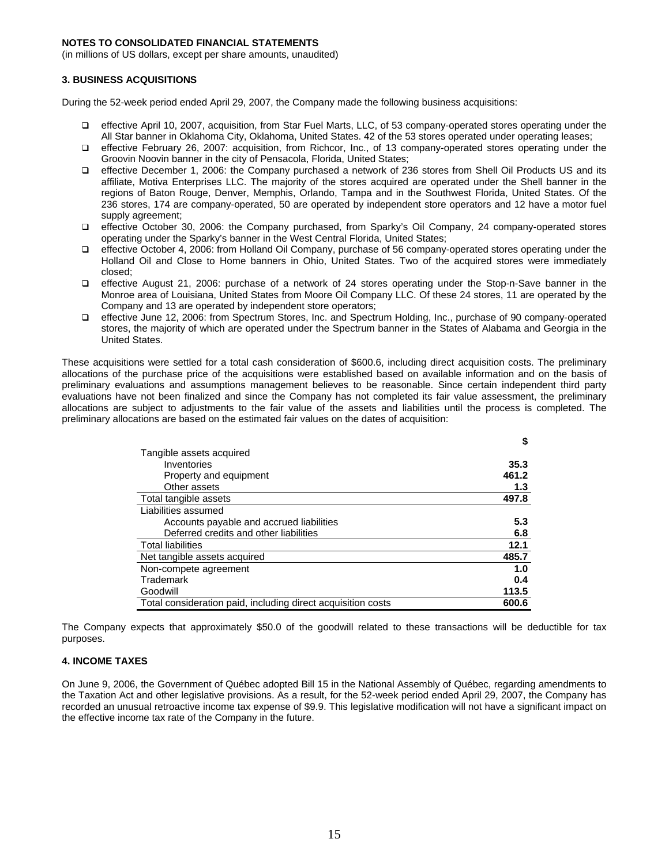(in millions of US dollars, except per share amounts, unaudited)

### **3. BUSINESS ACQUISITIONS**

During the 52-week period ended April 29, 2007, the Company made the following business acquisitions:

- effective April 10, 2007, acquisition, from Star Fuel Marts, LLC, of 53 company-operated stores operating under the All Star banner in Oklahoma City, Oklahoma, United States. 42 of the 53 stores operated under operating leases;
- effective February 26, 2007: acquisition, from Richcor, Inc., of 13 company-operated stores operating under the Groovin Noovin banner in the city of Pensacola, Florida, United States;
- effective December 1, 2006: the Company purchased a network of 236 stores from Shell Oil Products US and its affiliate, Motiva Enterprises LLC. The majority of the stores acquired are operated under the Shell banner in the regions of Baton Rouge, Denver, Memphis, Orlando, Tampa and in the Southwest Florida, United States. Of the 236 stores, 174 are company-operated, 50 are operated by independent store operators and 12 have a motor fuel supply agreement;
- effective October 30, 2006: the Company purchased, from Sparky's Oil Company, 24 company-operated stores operating under the Sparky's banner in the West Central Florida, United States;
- effective October 4, 2006: from Holland Oil Company, purchase of 56 company-operated stores operating under the Holland Oil and Close to Home banners in Ohio, United States. Two of the acquired stores were immediately closed;
- effective August 21, 2006: purchase of a network of 24 stores operating under the Stop-n-Save banner in the Monroe area of Louisiana, United States from Moore Oil Company LLC. Of these 24 stores, 11 are operated by the Company and 13 are operated by independent store operators;
- effective June 12, 2006: from Spectrum Stores, Inc. and Spectrum Holding, Inc., purchase of 90 company-operated stores, the majority of which are operated under the Spectrum banner in the States of Alabama and Georgia in the United States.

These acquisitions were settled for a total cash consideration of \$600.6, including direct acquisition costs. The preliminary allocations of the purchase price of the acquisitions were established based on available information and on the basis of preliminary evaluations and assumptions management believes to be reasonable. Since certain independent third party evaluations have not been finalized and since the Company has not completed its fair value assessment, the preliminary allocations are subject to adjustments to the fair value of the assets and liabilities until the process is completed. The preliminary allocations are based on the estimated fair values on the dates of acquisition:

|                                                              | \$    |
|--------------------------------------------------------------|-------|
| Tangible assets acquired                                     |       |
| Inventories                                                  | 35.3  |
| Property and equipment                                       | 461.2 |
| Other assets                                                 | 1.3   |
| Total tangible assets                                        | 497.8 |
| Liabilities assumed                                          |       |
| Accounts payable and accrued liabilities                     | 5.3   |
| Deferred credits and other liabilities                       | 6.8   |
| <b>Total liabilities</b>                                     | 12.1  |
| Net tangible assets acquired                                 | 485.7 |
| Non-compete agreement                                        | 1.0   |
| Trademark                                                    | 0.4   |
| Goodwill                                                     | 113.5 |
| Total consideration paid, including direct acquisition costs | 600.6 |

The Company expects that approximately \$50.0 of the goodwill related to these transactions will be deductible for tax purposes.

### **4. INCOME TAXES**

On June 9, 2006, the Government of Québec adopted Bill 15 in the National Assembly of Québec, regarding amendments to the Taxation Act and other legislative provisions. As a result, for the 52-week period ended April 29, 2007, the Company has recorded an unusual retroactive income tax expense of \$9.9. This legislative modification will not have a significant impact on the effective income tax rate of the Company in the future.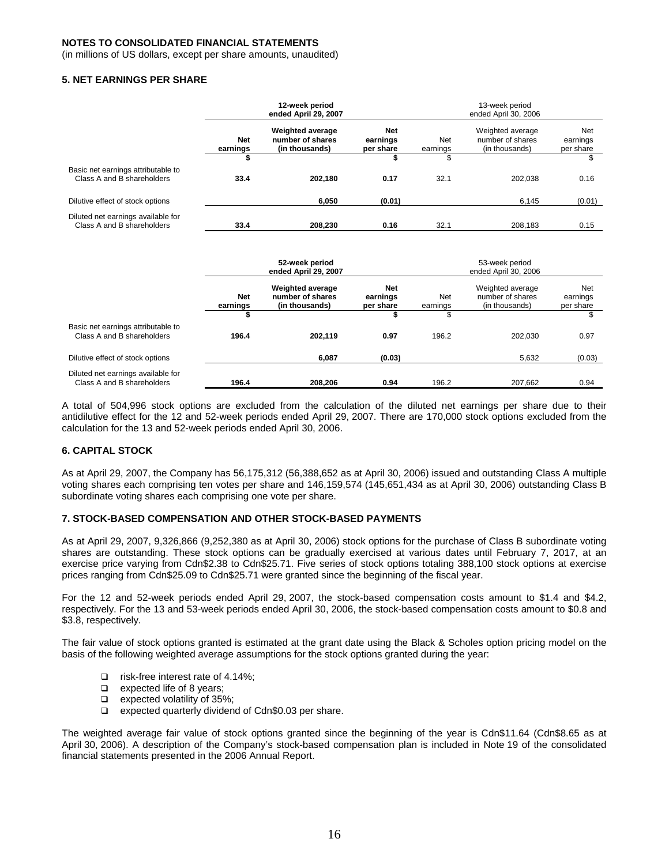(in millions of US dollars, except per share amounts, unaudited)

#### **5. NET EARNINGS PER SHARE**

|                                                                  |                        | 12-week period<br>ended April 29, 2007                        |                              |                 | 13-week period<br>ended April 30, 2006                 |                              |  |  |
|------------------------------------------------------------------|------------------------|---------------------------------------------------------------|------------------------------|-----------------|--------------------------------------------------------|------------------------------|--|--|
|                                                                  | <b>Net</b><br>earnings | <b>Weighted average</b><br>number of shares<br>(in thousands) | Net<br>earnings<br>per share | Net<br>earnings | Weighted average<br>number of shares<br>(in thousands) | Net<br>earnings<br>per share |  |  |
|                                                                  | \$                     |                                                               | \$                           | \$              |                                                        | \$                           |  |  |
| Basic net earnings attributable to<br>Class A and B shareholders | 33.4                   | 202,180                                                       | 0.17                         | 32.1            | 202.038                                                | 0.16                         |  |  |
| Dilutive effect of stock options                                 |                        | 6,050                                                         | (0.01)                       |                 | 6,145                                                  | (0.01)                       |  |  |
| Diluted net earnings available for<br>Class A and B shareholders | 33.4                   | 208,230                                                       | 0.16                         | 32.1            | 208,183                                                | 0.15                         |  |  |

|                                                                  | 52-week period<br>ended April 29, 2007 |                                                               |                                     | 53-week period<br>ended April 30, 2006 |                                                        |                              |  |
|------------------------------------------------------------------|----------------------------------------|---------------------------------------------------------------|-------------------------------------|----------------------------------------|--------------------------------------------------------|------------------------------|--|
|                                                                  | <b>Net</b><br>earnings                 | <b>Weighted average</b><br>number of shares<br>(in thousands) | <b>Net</b><br>earnings<br>per share | Net<br>earnings                        | Weighted average<br>number of shares<br>(in thousands) | Net<br>earnings<br>per share |  |
|                                                                  |                                        |                                                               |                                     |                                        |                                                        |                              |  |
| Basic net earnings attributable to<br>Class A and B shareholders | 196.4                                  | 202,119                                                       | 0.97                                | 196.2                                  | 202.030                                                | 0.97                         |  |
| Dilutive effect of stock options                                 |                                        | 6,087                                                         | (0.03)                              |                                        | 5,632                                                  | (0.03)                       |  |
| Diluted net earnings available for<br>Class A and B shareholders | 196.4                                  | 208,206                                                       | 0.94                                | 196.2                                  | 207,662                                                | 0.94                         |  |

A total of 504,996 stock options are excluded from the calculation of the diluted net earnings per share due to their antidilutive effect for the 12 and 52-week periods ended April 29, 2007. There are 170,000 stock options excluded from the calculation for the 13 and 52-week periods ended April 30, 2006.

#### **6. CAPITAL STOCK**

As at April 29, 2007, the Company has 56,175,312 (56,388,652 as at April 30, 2006) issued and outstanding Class A multiple voting shares each comprising ten votes per share and 146,159,574 (145,651,434 as at April 30, 2006) outstanding Class B subordinate voting shares each comprising one vote per share.

#### **7. STOCK-BASED COMPENSATION AND OTHER STOCK-BASED PAYMENTS**

As at April 29, 2007, 9,326,866 (9,252,380 as at April 30, 2006) stock options for the purchase of Class B subordinate voting shares are outstanding. These stock options can be gradually exercised at various dates until February 7, 2017, at an exercise price varying from Cdn\$2.38 to Cdn\$25.71. Five series of stock options totaling 388,100 stock options at exercise prices ranging from Cdn\$25.09 to Cdn\$25.71 were granted since the beginning of the fiscal year.

For the 12 and 52-week periods ended April 29, 2007, the stock-based compensation costs amount to \$1.4 and \$4.2, respectively. For the 13 and 53-week periods ended April 30, 2006, the stock-based compensation costs amount to \$0.8 and \$3.8, respectively.

The fair value of stock options granted is estimated at the grant date using the Black & Scholes option pricing model on the basis of the following weighted average assumptions for the stock options granted during the year:

- □ risk-free interest rate of 4.14%;
- $\Box$  expected life of 8 years;
- $\Box$  expected volatility of 35%;
- $\Box$  expected quarterly dividend of Cdn\$0.03 per share.

The weighted average fair value of stock options granted since the beginning of the year is Cdn\$11.64 (Cdn\$8.65 as at April 30, 2006). A description of the Company's stock-based compensation plan is included in Note 19 of the consolidated financial statements presented in the 2006 Annual Report.